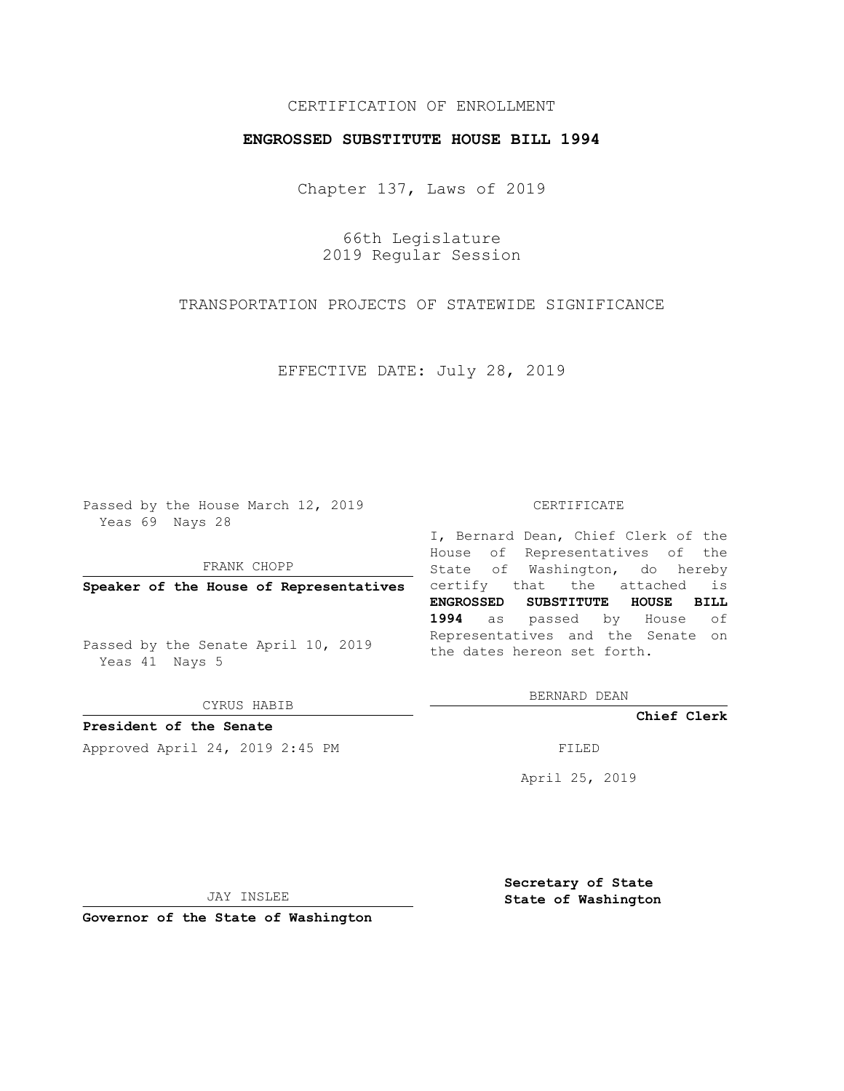## CERTIFICATION OF ENROLLMENT

## **ENGROSSED SUBSTITUTE HOUSE BILL 1994**

Chapter 137, Laws of 2019

66th Legislature 2019 Regular Session

TRANSPORTATION PROJECTS OF STATEWIDE SIGNIFICANCE

EFFECTIVE DATE: July 28, 2019

Passed by the House March 12, 2019 Yeas 69 Nays 28

FRANK CHOPP

Passed by the Senate April 10, 2019 Yeas 41 Nays 5

CYRUS HABIB

**President of the Senate**

Approved April 24, 2019 2:45 PM FILED

## CERTIFICATE

**Speaker of the House of Representatives** certify that the attached is I, Bernard Dean, Chief Clerk of the House of Representatives of the State of Washington, do hereby **ENGROSSED SUBSTITUTE HOUSE BILL 1994** as passed by House of Representatives and the Senate on the dates hereon set forth.

BERNARD DEAN

**Chief Clerk**

April 25, 2019

JAY INSLEE

**Governor of the State of Washington**

**Secretary of State State of Washington**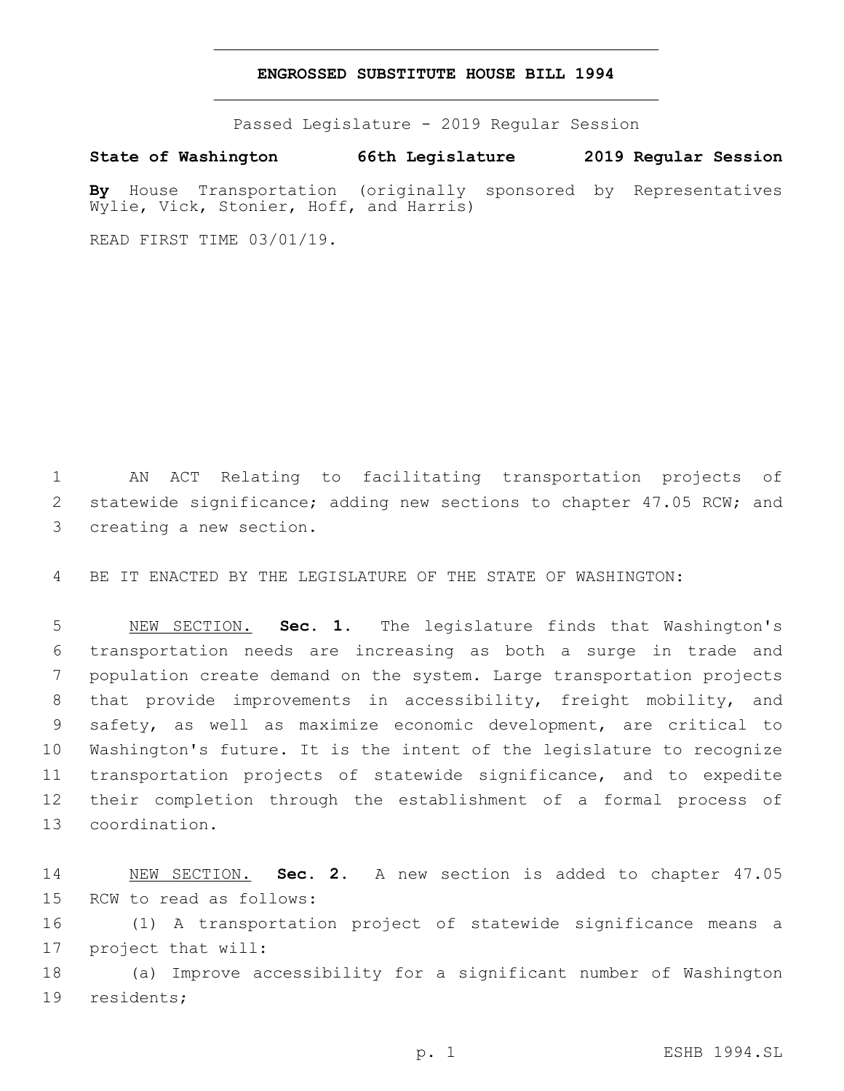## **ENGROSSED SUBSTITUTE HOUSE BILL 1994**

Passed Legislature - 2019 Regular Session

**State of Washington 66th Legislature 2019 Regular Session By** House Transportation (originally sponsored by Representatives Wylie, Vick, Stonier, Hoff, and Harris)

READ FIRST TIME 03/01/19.

1 AN ACT Relating to facilitating transportation projects of 2 statewide significance; adding new sections to chapter 47.05 RCW; and 3 creating a new section.

4 BE IT ENACTED BY THE LEGISLATURE OF THE STATE OF WASHINGTON:

 NEW SECTION. **Sec. 1.** The legislature finds that Washington's transportation needs are increasing as both a surge in trade and population create demand on the system. Large transportation projects that provide improvements in accessibility, freight mobility, and safety, as well as maximize economic development, are critical to Washington's future. It is the intent of the legislature to recognize transportation projects of statewide significance, and to expedite their completion through the establishment of a formal process of coordination.

14 NEW SECTION. **Sec. 2.** A new section is added to chapter 47.05 15 RCW to read as follows:

16 (1) A transportation project of statewide significance means a 17 project that will:

18 (a) Improve accessibility for a significant number of Washington 19 residents;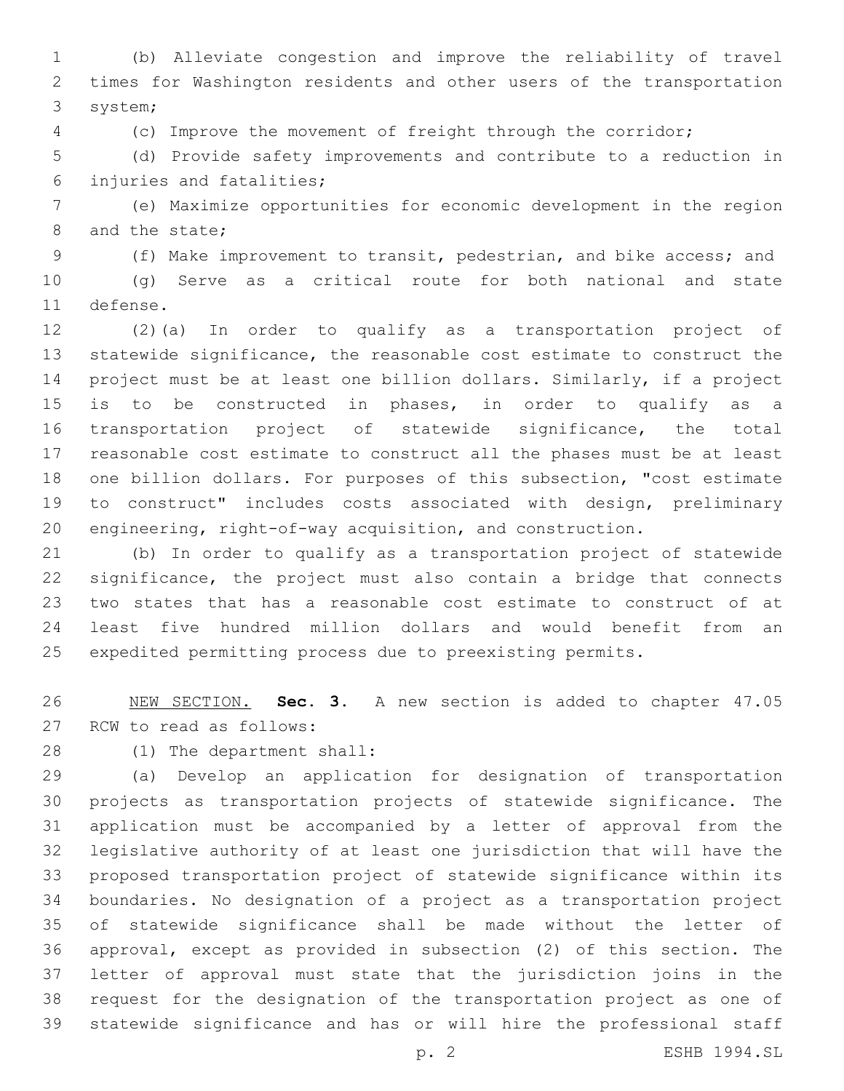(b) Alleviate congestion and improve the reliability of travel times for Washington residents and other users of the transportation 3 system;

(c) Improve the movement of freight through the corridor;

 (d) Provide safety improvements and contribute to a reduction in injuries and fatalities;6

 (e) Maximize opportunities for economic development in the region 8 and the state;

(f) Make improvement to transit, pedestrian, and bike access; and

 (g) Serve as a critical route for both national and state 11 defense.

 (2)(a) In order to qualify as a transportation project of statewide significance, the reasonable cost estimate to construct the project must be at least one billion dollars. Similarly, if a project is to be constructed in phases, in order to qualify as a transportation project of statewide significance, the total reasonable cost estimate to construct all the phases must be at least one billion dollars. For purposes of this subsection, "cost estimate to construct" includes costs associated with design, preliminary engineering, right-of-way acquisition, and construction.

 (b) In order to qualify as a transportation project of statewide significance, the project must also contain a bridge that connects two states that has a reasonable cost estimate to construct of at least five hundred million dollars and would benefit from an expedited permitting process due to preexisting permits.

 NEW SECTION. **Sec. 3.** A new section is added to chapter 47.05 27 RCW to read as follows:

(1) The department shall:28

 (a) Develop an application for designation of transportation projects as transportation projects of statewide significance. The application must be accompanied by a letter of approval from the legislative authority of at least one jurisdiction that will have the proposed transportation project of statewide significance within its boundaries. No designation of a project as a transportation project of statewide significance shall be made without the letter of approval, except as provided in subsection (2) of this section. The letter of approval must state that the jurisdiction joins in the request for the designation of the transportation project as one of statewide significance and has or will hire the professional staff

p. 2 ESHB 1994.SL